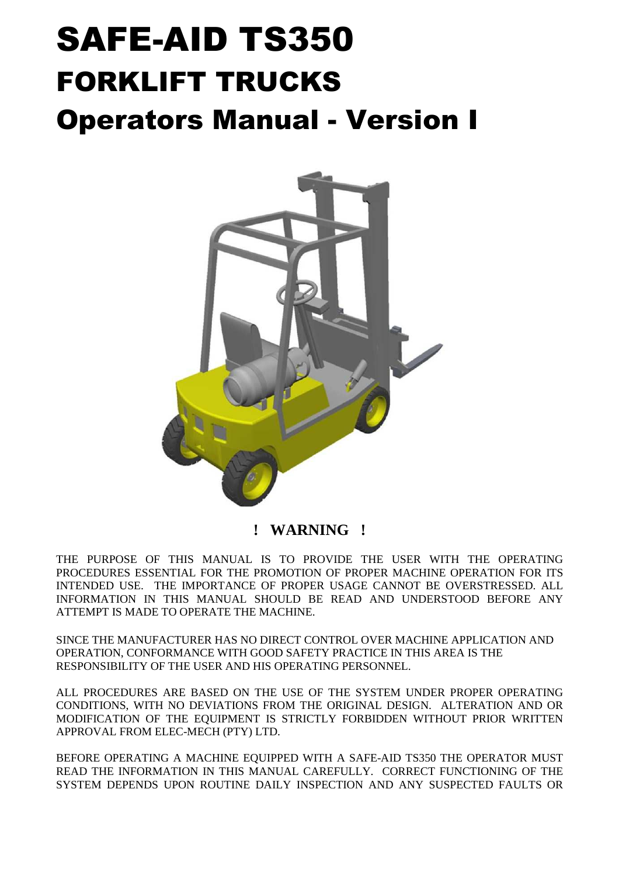## SAFE-AID TS350 FORKLIFT TRUCKS Operators Manual - Version I



**! WARNING !** 

THE PURPOSE OF THIS MANUAL IS TO PROVIDE THE USER WITH THE OPERATING PROCEDURES ESSENTIAL FOR THE PROMOTION OF PROPER MACHINE OPERATION FOR ITS INTENDED USE. THE IMPORTANCE OF PROPER USAGE CANNOT BE OVERSTRESSED. ALL INFORMATION IN THIS MANUAL SHOULD BE READ AND UNDERSTOOD BEFORE ANY ATTEMPT IS MADE TO OPERATE THE MACHINE.

SINCE THE MANUFACTURER HAS NO DIRECT CONTROL OVER MACHINE APPLICATION AND OPERATION, CONFORMANCE WITH GOOD SAFETY PRACTICE IN THIS AREA IS THE RESPONSIBILITY OF THE USER AND HIS OPERATING PERSONNEL.

ALL PROCEDURES ARE BASED ON THE USE OF THE SYSTEM UNDER PROPER OPERATING CONDITIONS, WITH NO DEVIATIONS FROM THE ORIGINAL DESIGN. ALTERATION AND OR MODIFICATION OF THE EQUIPMENT IS STRICTLY FORBIDDEN WITHOUT PRIOR WRITTEN APPROVAL FROM ELEC-MECH (PTY) LTD.

BEFORE OPERATING A MACHINE EQUIPPED WITH A SAFE-AID TS350 THE OPERATOR MUST READ THE INFORMATION IN THIS MANUAL CAREFULLY. CORRECT FUNCTIONING OF THE SYSTEM DEPENDS UPON ROUTINE DAILY INSPECTION AND ANY SUSPECTED FAULTS OR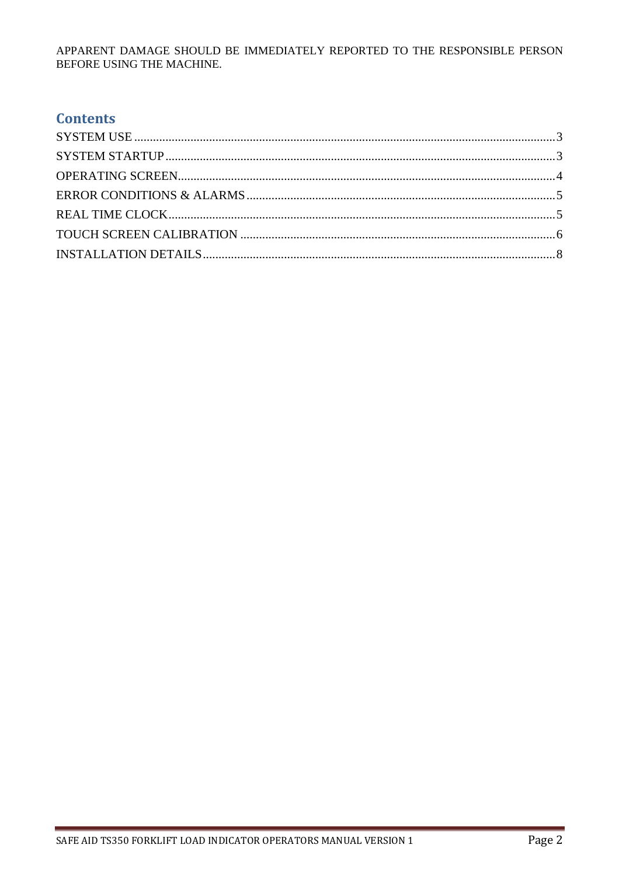### APPARENT DAMAGE SHOULD BE IMMEDIATELY REPORTED TO THE RESPONSIBLE PERSON BEFORE USING THE MACHINE.

### **Contents**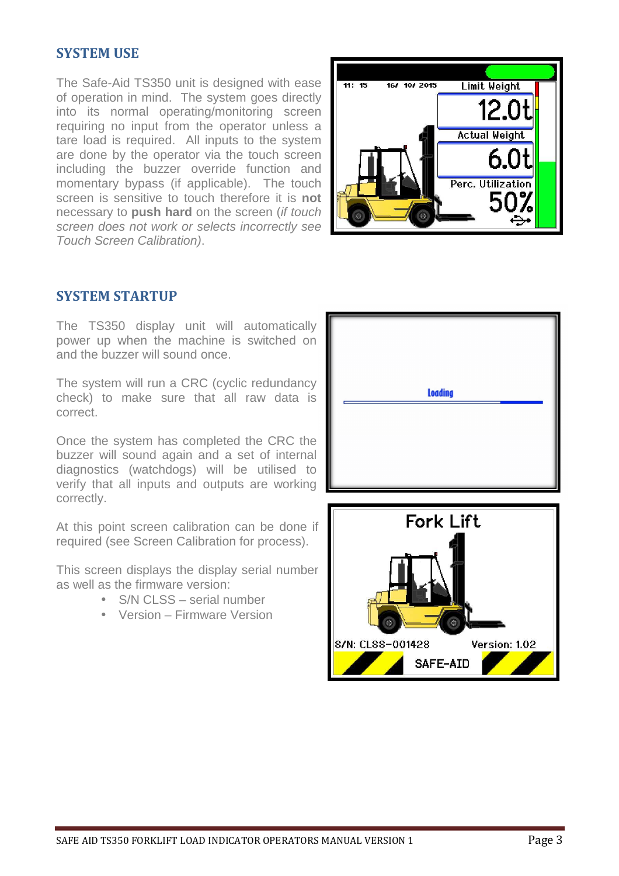### **SYSTEM USE**

The Safe-Aid TS350 unit is designed with ease of operation in mind. The system goes directly into its normal operating/monitoring screen requiring no input from the operator unless a tare load is required. All inputs to the system are done by the operator via the touch screen including the buzzer override function and momentary bypass (if applicable). The touch screen is sensitive to touch therefore it is **not** necessary to **push hard** on the screen (if touch screen does not work or selects incorrectly see Touch Screen Calibration).



### **SYSTEM STARTUP**

The TS350 display unit will automatically power up when the machine is switched on and the buzzer will sound once.

The system will run a CRC (cyclic redundancy check) to make sure that all raw data is correct.

Once the system has completed the CRC the buzzer will sound again and a set of internal diagnostics (watchdogs) will be utilised to verify that all inputs and outputs are working correctly.

At this point screen calibration can be done if required (see Screen Calibration for process).

This screen displays the display serial number as well as the firmware version:

- S/N CLSS serial number
- Version Firmware Version



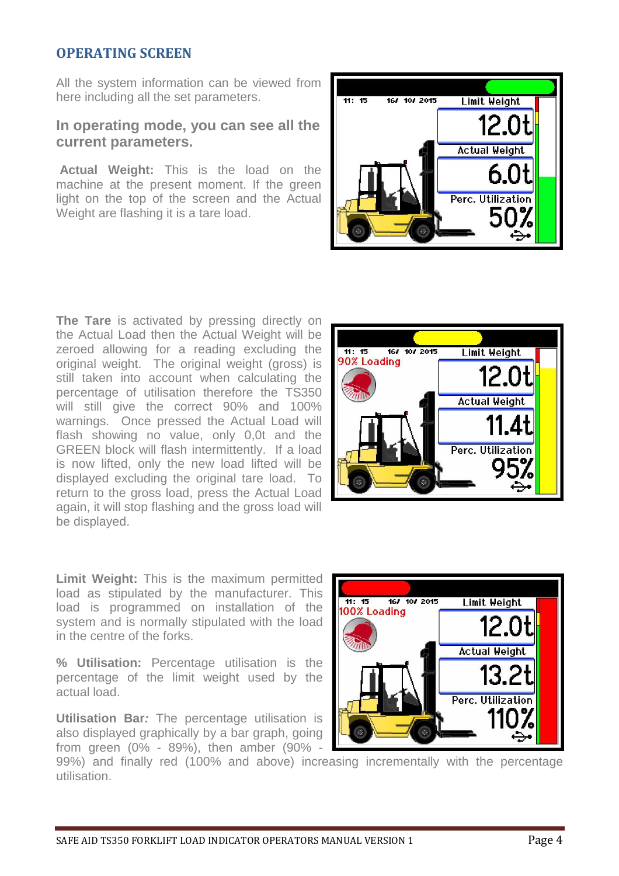### **OPERATING SCREEN**

All the system information can be viewed from here including all the set parameters.

### **In operating mode, you can see all the current parameters.**

**Actual Weight:** This is the load on the machine at the present moment. If the green light on the top of the screen and the Actual Weight are flashing it is a tare load.



**The Tare** is activated by pressing directly on the Actual Load then the Actual Weight will be zeroed allowing for a reading excluding the original weight. The original weight (gross) is still taken into account when calculating the percentage of utilisation therefore the TS350 will still give the correct 90% and 100% warnings. Once pressed the Actual Load will flash showing no value, only 0,0t and the GREEN block will flash intermittently. If a load is now lifted, only the new load lifted will be displayed excluding the original tare load. To return to the gross load, press the Actual Load again, it will stop flashing and the gross load will be displayed.



**Limit Weight:** This is the maximum permitted load as stipulated by the manufacturer. This load is programmed on installation of the system and is normally stipulated with the load in the centre of the forks.

**% Utilisation:** Percentage utilisation is the percentage of the limit weight used by the actual load.

**Utilisation Bar:** The percentage utilisation is also displayed graphically by a bar graph, going from green (0% - 89%), then amber (90% -

 $11: 15$ 16/ 10/ 2015 **Limit Weight** 100% Loading **Actual Weight** Perc. Utilization

99%) and finally red (100% and above) increasing incrementally with the percentage utilisation.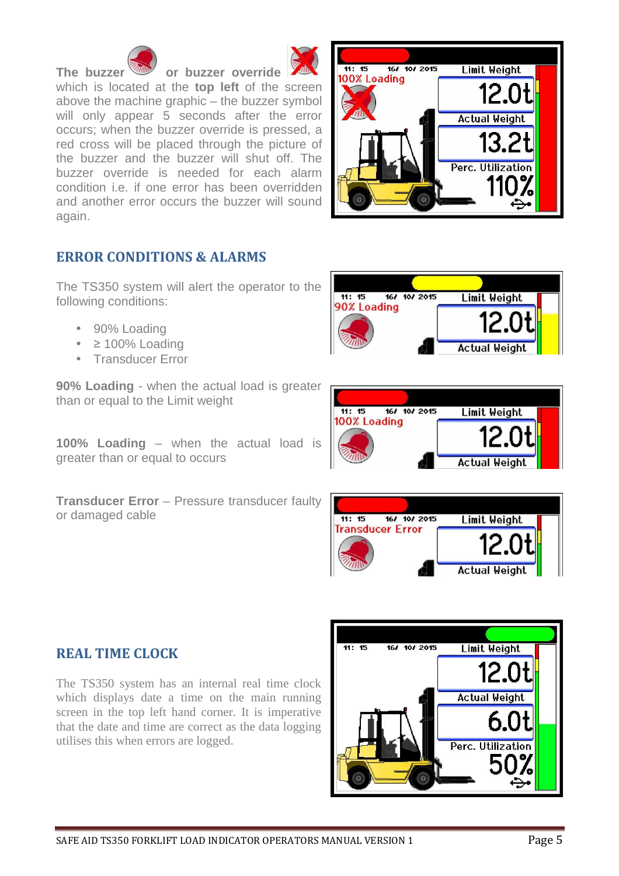**The buzzer or buzzer override** which is located at the **top left** of the screen above the machine graphic – the buzzer symbol will only appear 5 seconds after the error occurs; when the buzzer override is pressed, a red cross will be placed through the picture of the buzzer and the buzzer will shut off. The buzzer override is needed for each alarm condition i.e. if one error has been overridden and another error occurs the buzzer will sound again.



### **ERROR CONDITIONS & ALARMS**

The TS350 system will alert the operator to the following conditions:

- 90% Loading
- $\bullet$   $\geq$  100% Loading
- Transducer Error

**90% Loading** - when the actual load is greater than or equal to the Limit weight

**100% Loading** – when the actual load is greater than or equal to occurs

**Transducer Error** – Pressure transducer faulty or damaged cable







### **REAL TIME CLOCK**

The TS350 system has an internal real time clock which displays date a time on the main running screen in the top left hand corner. It is imperative that the date and time are correct as the data logging utilises this when errors are logged.

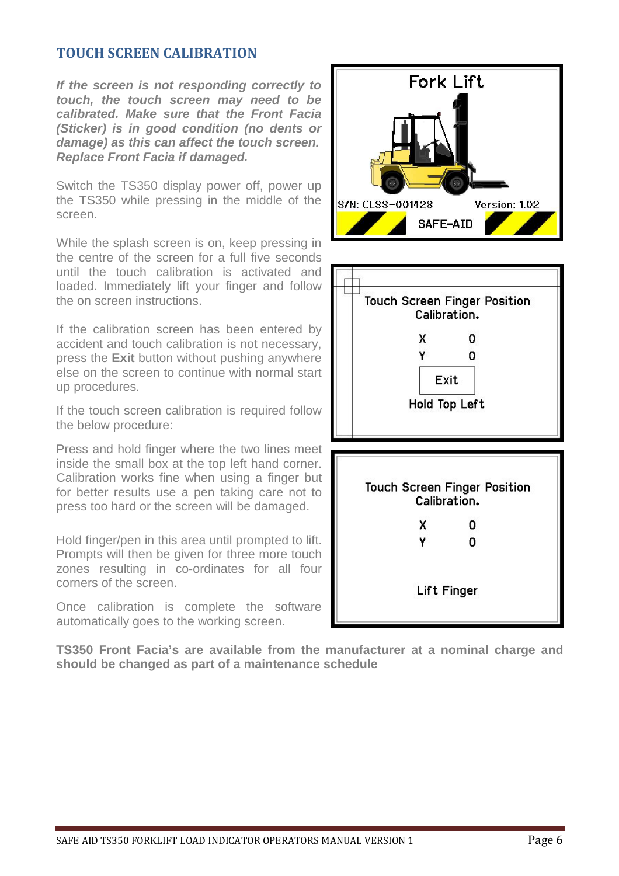### **TOUCH SCREEN CALIBRATION**

**If the screen is not responding correctly to touch, the touch screen may need to be calibrated. Make sure that the Front Facia (Sticker) is in good condition (no dents or damage) as this can affect the touch screen. Replace Front Facia if damaged.** 

Switch the TS350 display power off, power up the TS350 while pressing in the middle of the screen.

While the splash screen is on, keep pressing in the centre of the screen for a full five seconds until the touch calibration is activated and loaded. Immediately lift your finger and follow the on screen instructions.

If the calibration screen has been entered by accident and touch calibration is not necessary, press the **Exit** button without pushing anywhere else on the screen to continue with normal start up procedures.

If the touch screen calibration is required follow the below procedure:

Press and hold finger where the two lines meet inside the small box at the top left hand corner. Calibration works fine when using a finger but for better results use a pen taking care not to press too hard or the screen will be damaged.

Hold finger/pen in this area until prompted to lift. Prompts will then be given for three more touch zones resulting in co-ordinates for all four corners of the screen.

Once calibration is complete the software automatically goes to the working screen.

Fork Lift. Version: 1.02 S/N: CLSS-001428 SAFE-AID



**TS350 Front Facia's are available from the manufacturer at a nominal charge and should be changed as part of a maintenance schedule**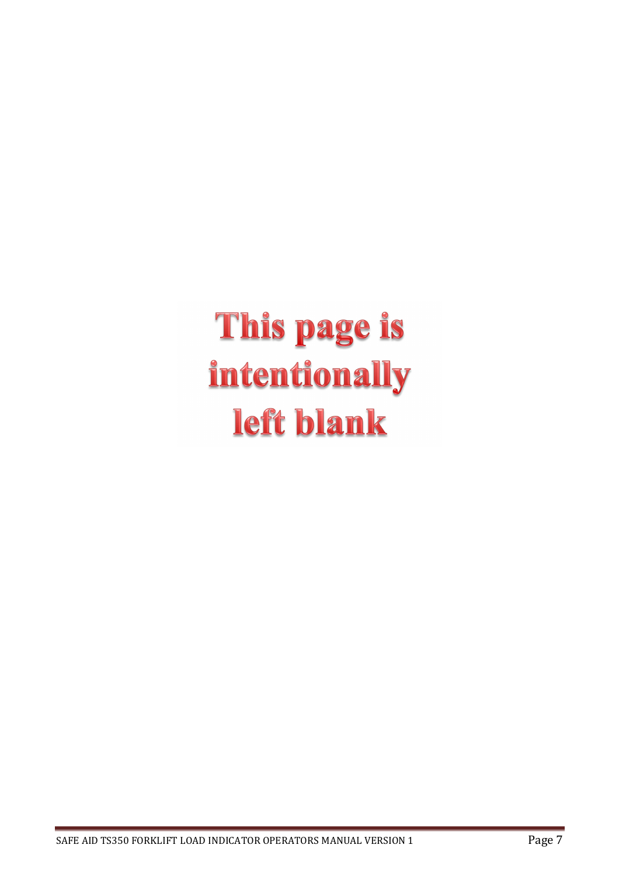# This page is intentionally left blank